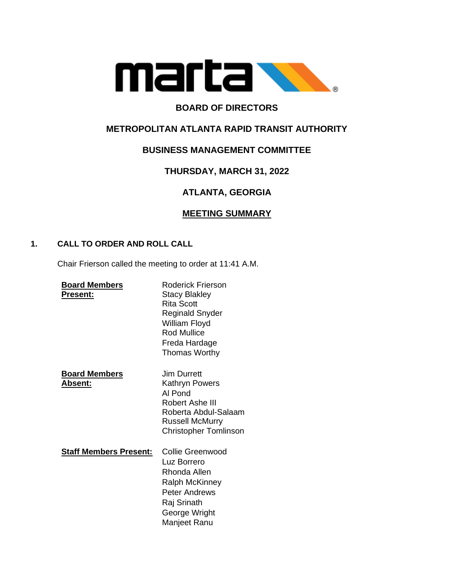

# **BOARD OF DIRECTORS**

## **METROPOLITAN ATLANTA RAPID TRANSIT AUTHORITY**

## **BUSINESS MANAGEMENT COMMITTEE**

## **THURSDAY, MARCH 31, 2022**

# **ATLANTA, GEORGIA**

## **MEETING SUMMARY**

### **1. CALL TO ORDER AND ROLL CALL**

Chair Frierson called the meeting to order at 11:41 A.M.

| <b>Board Members</b><br>Present: | <b>Roderick Frierson</b><br><b>Stacy Blakley</b><br>Rita Scott<br>Reginald Snyder<br>William Floyd<br><b>Rod Mullice</b><br>Freda Hardage<br><b>Thomas Worthy</b> |
|----------------------------------|-------------------------------------------------------------------------------------------------------------------------------------------------------------------|
| <b>Board Members</b><br>Absent:  | Jim Durrett<br>Kathryn Powers<br>AI Pond<br>Robert Ashe III<br>Roberta Abdul-Salaam<br><b>Russell McMurry</b><br><b>Christopher Tomlinson</b>                     |
| <u>Staff Members Present:</u>    | Collie Greenwood<br>Luz Borrero<br>Rhonda Allen<br><b>Ralph McKinney</b><br><b>Peter Andrews</b><br>Raj Srinath<br>George Wright<br>Manjeet Ranu                  |